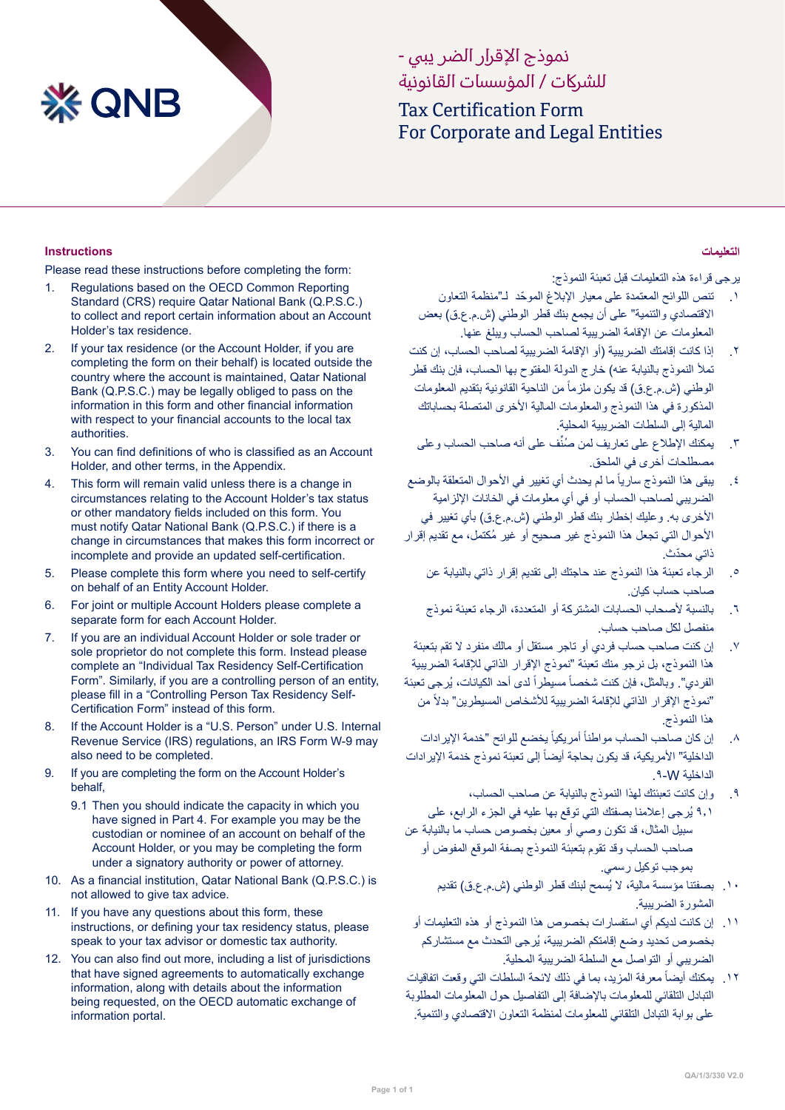# **XX QNB**

# نموذج الإقرار الضر يبي -للشراكت / المؤسسات القانونية

Tax Certification Form For Corporate and Legal Entities

#### **Instructions**

Please read these instructions before completing the form:

- 1. Regulations based on the OECD Common Reporting Standard (CRS) require Qatar National Bank (Q.P.S.C.) to collect and report certain information about an Account Holder's tax residence.
- 2. If your tax residence (or the Account Holder, if you are completing the form on their behalf) is located outside the country where the account is maintained, Qatar National Bank (Q.P.S.C.) may be legally obliged to pass on the information in this form and other financial information with respect to your financial accounts to the local tax authorities.
- 3. You can find definitions of who is classified as an Account Holder, and other terms, in the Appendix.
- 4. This form will remain valid unless there is a change in circumstances relating to the Account Holder's tax status or other mandatory fields included on this form. You must notify Qatar National Bank (Q.P.S.C.) if there is a change in circumstances that makes this form incorrect or incomplete and provide an updated self-certification.
- 5. Please complete this form where you need to self-certify on behalf of an Entity Account Holder.
- 6. For joint or multiple Account Holders please complete a separate form for each Account Holder.
- 7. If you are an individual Account Holder or sole trader or sole proprietor do not complete this form. Instead please complete an "Individual Tax Residency Self-Certification Form". Similarly, if you are a controlling person of an entity, please fill in a "Controlling Person Tax Residency Self-Certification Form" instead of this form.
- 8. If the Account Holder is a "U.S. Person" under U.S. Internal Revenue Service (IRS) regulations, an IRS Form W-9 may also need to be completed.
- 9. If you are completing the form on the Account Holder's behalf,
	- 9.1 Then you should indicate the capacity in which you have signed in Part 4. For example you may be the custodian or nominee of an account on behalf of the Account Holder, or you may be completing the form under a signatory authority or power of attorney.
- 10. As a financial institution, Qatar National Bank (Q.P.S.C.) is not allowed to give tax advice.
- 11. If you have any questions about this form, these instructions, or defining your tax residency status, please speak to your tax advisor or domestic tax authority.
- 12. You can also find out more, including a list of jurisdictions that have signed agreements to automatically exchange information, along with details about the information being requested, on the OECD automatic exchange of information portal.

#### **التعليمات**

يرجى قراءة هذه التعليمات قبل تعبئة النموذج:

- .1 ّ تنص اللوائح المعتمدة على معيار اإلبالغ الموحد لـˮمنظمة التعاون الاقتصادي والتنمية" على أن يجمع بنك قطر الوطني (ش.م.ع.ق) بعض المعلومات عن اإلقامة الضريبية لصاحب الحساب ويبلغ عنها.
- .2 إذا كانت إقامتك الضريبية )أو اإلقامة الضريبية لصاحب الحساب، إن كنت .<br>تملأ النموذج بالنيابة عنه) خارج الدولة المفتوح بها الحساب، فإن بنك قطر الوطني (ش.م.ع.ق) قد يكون ملزماً من الناحية القانونية بتقديم المعلومات المذكورة في هذا النموذج والمعلومات المالية الأخرى المتصلة بحساباتك المالية إلى السلطات الضريبية المحلية.
- ٣. يمكنك الإطلاع على تعاريف لمن صُنِّف على أنه صاحب الحساب وعلى مصطلحات أخرى في الملحق.
- ٤ . يبقى هذا النموذج سارياً ما لم يحدث أي تغيير في الأحوال المتعلقة بالوضع الضريبي لصاحب الحساب أو في أي معلومات في الخانات اإللزامية الأخرى به. وعليك إخطار بنك قطر الوطني (ش.م.ع.ق) بأي تغيير في ُ األحوال التي تجعل هذا النموذج غير صحيح أو غير مكتمل، مع تقديم إقرار ّ ذاتي محدث.
	- .5 الرجاء تعبئة هذا النموذج عند حاجتك إلى تقديم إقرار ذاتي بالنيابة عن صاحب حساب كيان.
	- .6 بالنسبة ألصحاب الحسابات المشتركة أو المتعددة، الرجاء تعبئة نموذج منفصل لكل صاحب حساب.
- .7 إن كنت صاحب حساب فردي أو تاجر مستقل أو مالك منفرد ال تقم بتعبئة هذا النموذج، بل نرجو منك تعبئة "نموذج الإقرار الذاتي للإقامة الضريبية الفردي". وبالمثل، فإن كنت شخصاً مسيطراً لدى أحد الكيانات، يُرجى تعبئة "نموذج الإقرار الذاتي للإقامة الضريبية للأشخاص المسيطرين" بدلاً من هذا النموذج.
- ٨. إن كان صاحب الحساب مواطناً أمريكياً يخضع للوائح "خدمة الإيرادات الداخلية" الأمريكية، قد يكون بحاجة أيضاً إلى تعبئة نموذج خدمة الإيرادات الداخلية W.9-
- .9 وإن كانت تعبئتك لهذا النموذج بالنيابة عن صاحب الحساب، 9.1 ُيرجى إعالمنا بصفتك التي توقع بها عليه في الجزء الرابع، على سبيل المثال، قد تكون وصي أو معين بخصوص حساب ما بالنيابة عن صاحب الحساب وقد تقوم بتعبئة النموذج بصفة الموقع المفوض أو بموجب توكيل رسمي.
	- .10 ُ بصفتنا مؤسسة مالية، ال يسمح لبنك قطر الوطني )ش.م.ع.ق( تقديم المشورة الضريبية.
- .11 إن كانت لديكم أي استفسارات بخصوص هذا النموذج أو هذه التعليمات أو ُ بخصوص تحديد وضع إقامتكم الضريبية، يرجى التحدث مع مستشاركم الضريبي أو التواصل مع السلطة الضريبية المحلية.
- ١٢. يمكنك أيضاً معرفة المزيد، بما في ذلك لائحة السلطات التي وقعت اتفاقيات التبادل التلقائي للمعلومات باإلضافة إلى التفاصيل حول المعلومات المطلوبة على بوابة التبادل التلقائي للمعلومات لمنظمة التعاون االقتصادي والتنمية.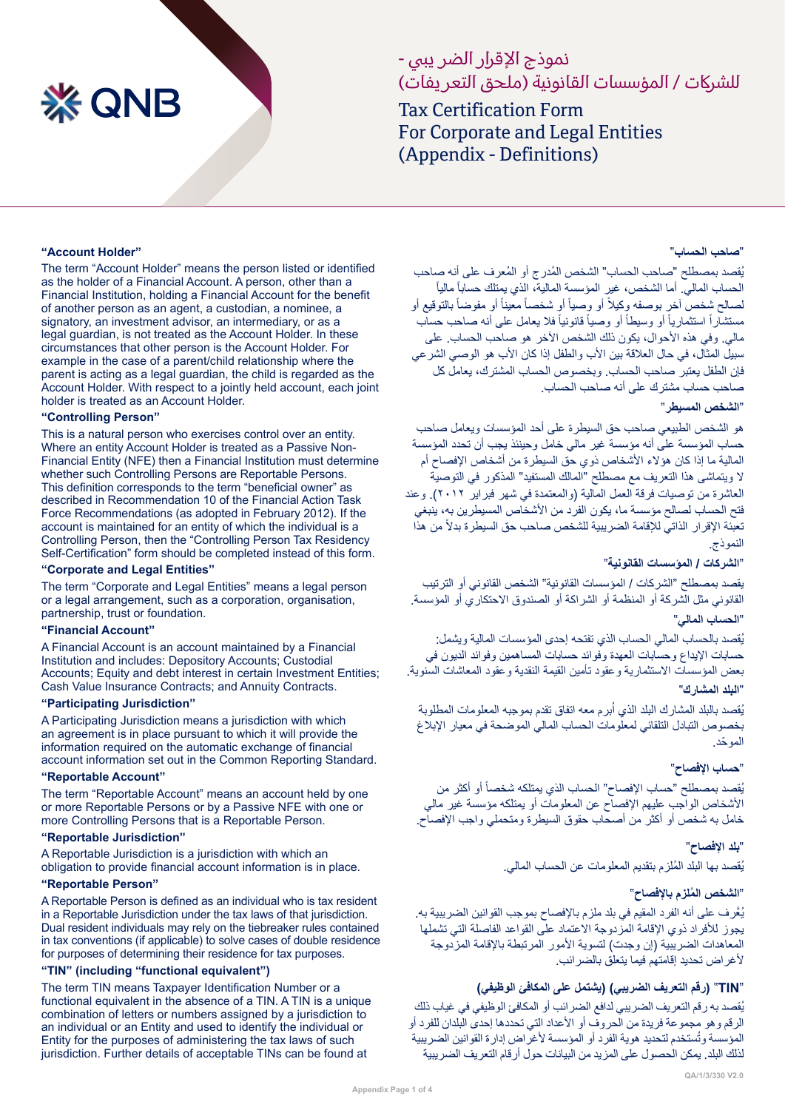# **※ QNB**

# نموذج الإقرار الضر يبي -للشركات / المؤسسات القانونية (ملحق التعر يفات)

Tax Certification Form For Corporate and Legal Entities (Appendix - Definitions)

#### **"Account Holder"**

The term "Account Holder" means the person listed or identified as the holder of a Financial Account. A person, other than a Financial Institution, holding a Financial Account for the benefit of another person as an agent, a custodian, a nominee, a signatory, an investment advisor, an intermediary, or as a legal guardian, is not treated as the Account Holder. In these circumstances that other person is the Account Holder. For example in the case of a parent/child relationship where the parent is acting as a legal guardian, the child is regarded as the Account Holder. With respect to a jointly held account, each joint holder is treated as an Account Holder.

#### **"Controlling Person"**

This is a natural person who exercises control over an entity. Where an entity Account Holder is treated as a Passive Non-Financial Entity (NFE) then a Financial Institution must determine whether such Controlling Persons are Reportable Persons. This definition corresponds to the term "beneficial owner" as described in Recommendation 10 of the Financial Action Task Force Recommendations (as adopted in February 2012). If the account is maintained for an entity of which the individual is a Controlling Person, then the "Controlling Person Tax Residency Self-Certification" form should be completed instead of this form.

#### **"Corporate and Legal Entities"**

The term "Corporate and Legal Entities" means a legal person or a legal arrangement, such as a corporation, organisation, partnership, trust or foundation.

#### **"Financial Account"**

A Financial Account is an account maintained by a Financial Institution and includes: Depository Accounts; Custodial Accounts: Equity and debt interest in certain Investment Entities: Cash Value Insurance Contracts; and Annuity Contracts.

#### **"Participating Jurisdiction"**

A Participating Jurisdiction means a jurisdiction with which an agreement is in place pursuant to which it will provide the information required on the automatic exchange of financial account information set out in the Common Reporting Standard.

#### **"Reportable Account"**

The term "Reportable Account" means an account held by one or more Reportable Persons or by a Passive NFE with one or more Controlling Persons that is a Reportable Person.

#### **"Reportable Jurisdiction"**

A Reportable Jurisdiction is a jurisdiction with which an obligation to provide financial account information is in place.

#### **"Reportable Person"**

A Reportable Person is defined as an individual who is tax resident in a Reportable Jurisdiction under the tax laws of that jurisdiction. Dual resident individuals may rely on the tiebreaker rules contained in tax conventions (if applicable) to solve cases of double residence for purposes of determining their residence for tax purposes.

#### **"TIN" (including "functional equivalent")**

The term TIN means Taxpayer Identification Number or a functional equivalent in the absence of a TIN. A TIN is a unique combination of letters or numbers assigned by a jurisdiction to an individual or an Entity and used to identify the individual or Entity for the purposes of administering the tax laws of such jurisdiction. Further details of acceptable TINs can be found at

#### ˮ**صاحب الحساب**"

يُقصد بمصطلح "صاحب الحساب" الشخص المُدرج أو المُعرف على أنه صاحب ً الحساب المالي. أما الشخص، غير المؤسسة المالية، الذي يمتلك حساباً مالياً لصالح شخص أخر بوصفه وكيلاً أو وصياً أو شخصاً معيناً أو مفوضاً بالتوقيع أو مستشاراً استثمارياً أو وسيطاً أو وصياً قانونياً فلا يعامل على أنه صاحب حساب مالي. وفي هذه الأحوال، يكون ذلك الشخص الآخر هو صاحب الحساب. على سبيل المثال، في حال العلاقة بين الأب والطفل إذا كان الأب هو الوصبي الشرعي فإن الطفل يعتبر صاحب الحساب. وبخصوص الحساب المشترك، يعامل كل صاحب حساب مشترك على أنه صاحب الحساب.

#### ˮ**الشخص المسيطر**"

هو الشخص الطبيعي صاحب حق السيطرة على أحد المؤسسات ويعامل صاحب حساب المؤسسة على أنه مؤسسة غير مالي خامل وحينئذ يجب أن تحدد المؤسسة المالية ما إذا كان هؤالء األشخاص ذوي حق السيطرة من أشخاص اإلفصاح أم ال ويتماشى هذا التعريف مع مصطلح ˮالمالك المستفيد" المذكور في التوصية العاشرة من توصيات فرقة العمل المالية (والمعتمدة في شهر فبراير ٢٠١٢). وعند فتح الحساب لصالح مؤسسة ما، يكون الفرد من األشخاص المسيطرين به، ينبغي تعبئة الإقرار الذاتي للإقامة الضريبية للشخص صاحب حق السيطرة بدلاً من هذا النموذج.

#### ˮ**الشركات / المؤسسات القانونية**"

يقصد بمصطلح "الشركات / المؤسسات القانونية" الشخص القانوني أو الترتيب القانوني مثل الشركة أو المنظمة أو الشراكة أو الصندوق االحتكاري أو المؤسسة.

# ˮ**الحساب المالي**"

ُيقصد بالحساب المالي الحساب الذي تفتحه إحدى المؤسسات المالية ويشمل: حسابات اإليداع وحسابات العهدة وفوائد حسابات المساهمين وفوائد الديون في بعض المؤسسات االستثمارية وعقود تأمين القيمة النقدية وعقود المعاشات السنوية. ˮ**البلد المشارك**"

يُقصد بالبلد المشارك البلد الذي أبرم معه اتفاق تقدم بموجبه المعلومات المطلوبة بخصوص التبادل التلقائي لمعلومات الحساب المالي الموضحة في معيار اإلبالغ ّ الموحد.

#### ˮ**حساب اإلفصاح**"

يُقصد بمصطلح "حساب الإفصـاح" الحساب الذي يمتلكه شخصـاً أو أكثر من األشخاص الواجب عليهم اإلفصاح عن المعلومات أو يمتلكه مؤسسة غير مالي خامل به شخص أو أكثر من أصحاب حقوق السيطرة ومتحملي واجب اإلفصاح.

> ˮ**بلد اإلفصاح**" يُقصد بها البلد المُلزم بتقديم المعلومات عن الحساب المالي.

#### ˮ **ُ الشخص الملزم باإلفصاح**"

ُي َّعرف على أنه الفرد المقيم في بلد ملزم باإلفصاح بموجب القوانين الضريبية به. يجوز لألفراد ذوي اإلقامة المزدوجة االعتماد على القواعد الفاصلة التي تشملها المعاهدات الضريبية (إن وجدت) لتسوية الأمور المرتبطة بالإقامة المزدوجة ألغراض تحديد إقامتهم فيما يتعلق بالضرائب.

#### **TIN**ˮ**(** "**رقم التعريف الضريبي( )يشتمل على المكافئ الوظيفي(**

ُيقصد به رقم التعريف الضريبي لدافع الضرائب أو المكافئ الوظيفي في غياب ذلك الرقم وهو مجموعة فريدة من الحروف أو األعداد التي تحددها إحدى البلدان للفرد أو المؤسسة وتُستخدم لتحديد هوية الفرد أو المؤسسة لأغراض إدارة القوانين الضريبية لذلك البلد. يمكن الحصول على المزيد من البيانات حول أرقام التعريف الضريبية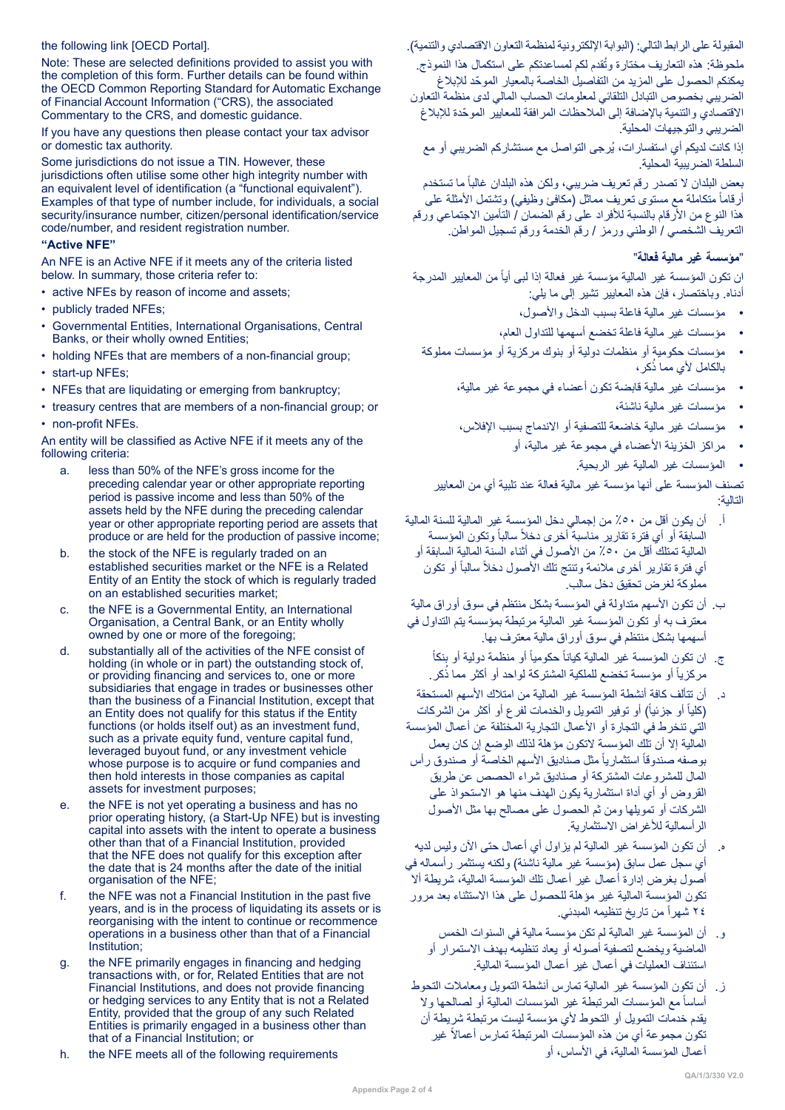#### the following link [OECD Portal].

Note: These are selected definitions provided to assist you with the completion of this form. Further details can be found within the OECD Common Reporting Standard for Automatic Exchange of Financial Account Information ("CRS), the associated Commentary to the CRS, and domestic guidance.

If you have any questions then please contact your tax advisor or domestic tax authority.

Some jurisdictions do not issue a TIN. However, these jurisdictions often utilise some other high integrity number with an equivalent level of identification (a "functional equivalent"). Examples of that type of number include, for individuals, a social security/insurance number, citizen/personal identification/service code/number, and resident registration number.

#### **"Active NFE"**

An NFE is an Active NFE if it meets any of the criteria listed below. In summary, those criteria refer to:

- active NFEs by reason of income and assets;
- publicly traded NFEs;
- Governmental Entities, International Organisations, Central Banks, or their wholly owned Entities;
- holding NFEs that are members of a non-financial group;
- start-up NFEs;
- NFEs that are liquidating or emerging from bankruptcy;
- treasury centres that are members of a non-financial group; or • non-profit NFEs.

An entity will be classified as Active NFE if it meets any of the following criteria:

- a. less than 50% of the NFE's gross income for the preceding calendar year or other appropriate reporting period is passive income and less than 50% of the assets held by the NFE during the preceding calendar year or other appropriate reporting period are assets that produce or are held for the production of passive income;
- b. the stock of the NFE is regularly traded on an established securities market or the NFE is a Related Entity of an Entity the stock of which is regularly traded on an established securities market;
- c. the NFE is a Governmental Entity, an International Organisation, a Central Bank, or an Entity wholly owned by one or more of the foregoing;
- d. substantially all of the activities of the NFE consist of holding (in whole or in part) the outstanding stock of, or providing financing and services to, one or more subsidiaries that engage in trades or businesses other than the business of a Financial Institution, except that an Entity does not qualify for this status if the Entity functions (or holds itself out) as an investment fund, such as a private equity fund, venture capital fund, leveraged buyout fund, or any investment vehicle whose purpose is to acquire or fund companies and then hold interests in those companies as capital assets for investment purposes;
- e. the NFE is not yet operating a business and has no prior operating history, (a Start-Up NFE) but is investing capital into assets with the intent to operate a business other than that of a Financial Institution, provided that the NFE does not qualify for this exception after the date that is 24 months after the date of the initial organisation of the NFE;
- f. the NFE was not a Financial Institution in the past five years, and is in the process of liquidating its assets or is reorganising with the intent to continue or recommence operations in a business other than that of a Financial Institution;
- g. the NFE primarily engages in financing and hedging transactions with, or for, Related Entities that are not Financial Institutions, and does not provide financing or hedging services to any Entity that is not a Related Entity, provided that the group of any such Related Entities is primarily engaged in a business other than that of a Financial Institution; or
- h. the NFE meets all of the following requirements

#### المقبولة على الرابط التالي: (البوابة الإلكترونية لمنظمة التعاون الاقتصادي والتنمية).

ملحوظة: هذه التعاريف مختارة وتُقدم لكم لمساعدتكم على استكمال هذا النموذج. ّ يمكنكم الحصول على المزيد من التفاصيل الخاصة بالمعيار الموحد لإلبالغ الضريبي بخصوص التبادل التلقائي لمعلومات الحساب المالي لدى منظمة التعاون ّ االقتصادي والتنمية باإلضافة إلى المالحظات المرافقة للمعايير الموحدة لإلبالغ الضريبي والتوجيهات المحلية.

ُ إذا كانت لديكم أي استفسارات، يرجى التواصل مع مستشاركم الضريبي أو مع السلطة الضريبية المحلية.

بعض البلدان لا تصدر رقم تعريف ضريبي، ولكن هذه البلدان غالباً ما تستخدم ارقاماً متكاملة مع مستوى تعريف مماثل (مكافئ وظيفي) وتشتمل الأمثلة على هذا النوع من الأرقام بالنسبة للأفراد على رقم الضمان / التأمين الاجتماعي ورقم التعريف الشخصي / الوطني ورمز / رقم الخدمة ورقم تسجيل المواطن.

#### ˮ**مؤسسة غير مالية فعالة**"

ان تكون المؤسسة غير المالية مؤسسة غير فعالة إذا لبي أياً من المعايير المدرجة أدناه. وباختصار، فإن هذه المعايير تشير إلى ما يلي:

- مؤسسات غير مالية فاعلة بسبب الدخل واألصول،
- مؤسسات غير مالية فاعلة تخضع أسهمها للتداول العام،
- مؤسسات حكومية أو منظمات دولية أو بنوك مركزية أو مؤسسات مملوكة بالكامل لأي مما ذُكر ،
	- مؤسسات غير مالية قابضة تكون أعضاء في مجموعة غير مالية،
		- مؤسسات غير مالية ناشئة،
	- مؤسسات غير مالية خاضعة للتصفية أو االندماج بسبب اإلفالس،
		- مراكز الخزينة األعضاء في مجموعة غير مالية، أو
			- المؤسسات غير المالية غير الربحية.

تصنف المؤسسة على أنها مؤسسة غير مالية فعالة عند تلبية أي من المعايير التالية:

- أ. أن يكون أقل من %50 من إجمالي دخل المؤسسة غير المالية للسنة المالية السابقة أو أي فترة تقارير مناسبة أخرى دخلاً سالباً وتكون المؤسسة المالية تمتلك أقل من ٥٠٪ من الأصول في أثناء السنة المالية السابقة أو أي فترة تقارير أخرى ملائمة وتنتج تلك الأصول دخلأ سالباً أو تكون مملوكة لغرض تحقيق دخل سالب.
- ب. أن تكون األسهم متداولة في المؤسسة بشكل منتظم في سوق أوراق مالية معترف به أو تكون المؤسسة غير المالية مرتبطة بمؤسسة يتم التداول في أسهمها بشكل منتظم في سوق أوراق مالية معترف بها.
	- ج. ان تكون المؤسسة غير المالية كياناً حكومياً أو منظمة دولية أو بنكاً مركزياً أو مؤسسة تخضع للملكية المشتركة لواحد أو أكثر مما ذُكر .
- د. أن تتألف كافة أنشطة المؤسسة غير المالية من امتالك األسهم المستحقة (كلياً أو جزئياً) أو توفير التمويل والخدمات لفرع أو أكثر من الشركات التي تنخرط في التجارة أو األعمال التجارية المختلفة عن أعمال المؤسسة المالية إال أن تلك المؤسسة التكون مؤهلة لذلك الوضع إن كان يعمل بوصفه صندوقاً استثمارياً مثل صناديق الأسهم الخاصة أو صندوق رأس المال للمشروعات المشتركة أو صناديق شراء الحصص عن طريق القروض أو أي أداة استثمارية يكون الهدف منها هو االستحواذ على الشركات أو تمويلها ومن ثم الحصول على مصالح بها مثل األصول الرأسمالية لألغراض االستثمارية.
- ه. أن تكون المؤسسة غير المالية لم يزاول أي أعمال حتى اآلن وليس لديه أي سجل عمل سابق (مؤسسة غير مالية ناشئة) ولكنه يستثمر رأسماله في أصول بغرض إدارة أعمال غير أعمال تلك المؤسسة المالية، شريطة أال تكون المؤسسة المالية غير مؤهلة للحصول على هذا االستثناء بعد مرور ٢٤ شهر أ من تاريخ تنظيمه المبدئي.
	- و. أن المؤسسة غير المالية لم تكن مؤسسة مالية في السنوات الخمس الماضية ويخضع لتصفية أصوله أو يعاد تنظيمه بهدف االستمرار أو استئناف العمليات في أعمال غير أعمال المؤسسة المالية.
- ز. أن تكون المؤسسة غير المالية تمارس أنشطة التمويل ومعامالت التحوط أساساً مع المؤسسات المرتبطة غير المؤسسات المالية أو لصىالحها ولا يقدم خدمات التمويل أو التحوط ألي مؤسسة ليست مرتبطة شريطة أن تكون مجموعة أي من هذه المؤسسات المرتبطة تمارس أعمالاً غير أعمال المؤسسة المالية، في الأساس، أو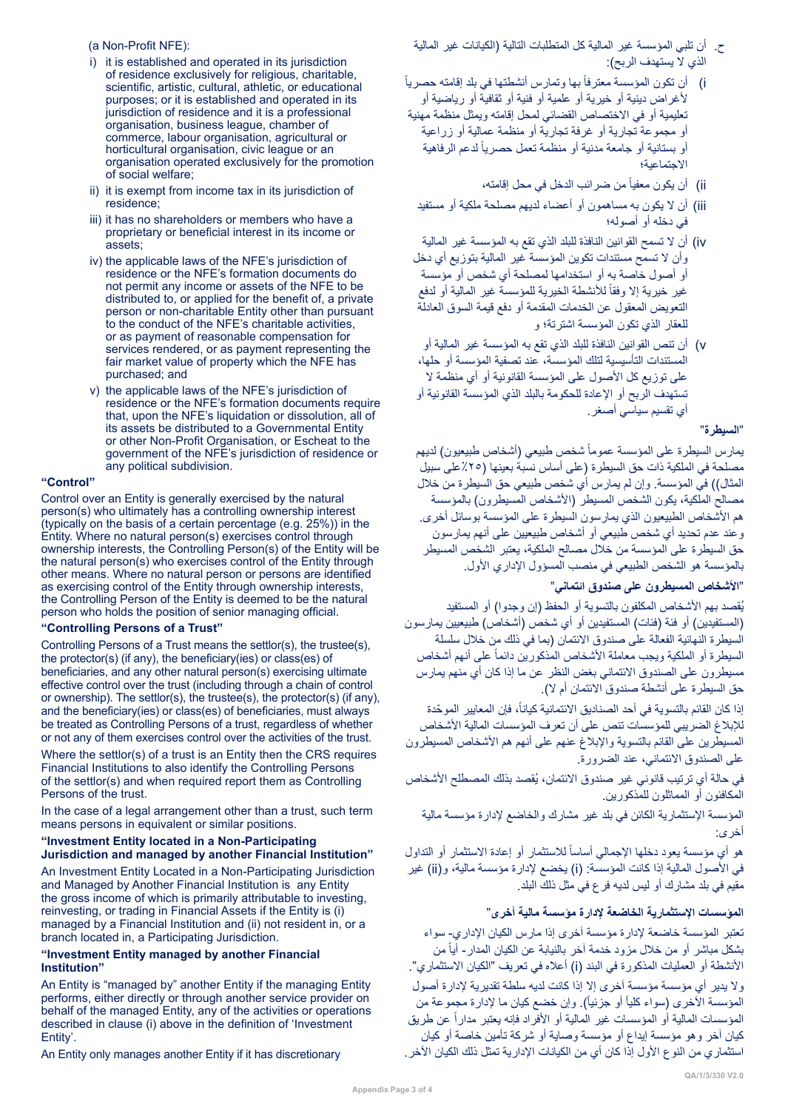# ح. أن تلبي المؤسسة غير المالية كل المتطلبات التالية )الكيانات غير المالية الذي لا يستهدف الربح):

#### i) أن تكون المؤسسة معترفاً بها وتمارس أنشطتها في بلد إقامته حصرياً ألغراض دينية أو خيرية أو علمية أو فنية أو ثقافية أو رياضية أو تعليمية أو في االختصاص القضائي لمحل إقامته ويمثل منظمة مهنية أو مجموعة تجارية أو غرفة تجارية أو منظمة عمالية أو زراعية أو بستانية أو جامعة مدنية أو منظمة تعمل حصرياً لدعم الرفاهية االجتماعية؛

- ii) أن يكون معفياً من ضررائب الدخل في محل إقامته،
- iii )أن ال يكون به مساهمون أو أعضاء لديهم مصلحة ملكية أو مستفيد في دخله أو أصوله؛
- iv )أن ال تسمح القوانين النافذة للبلد الذي تقع به المؤسسة غير المالية وأن ال تسمح مستندات تكوين المؤسسة غير المالية بتوزيع أي دخل أو أصول خاصة به أو استخدامها لمصلحة أي شخص أو مؤسسة غير خيرية إلا وفقاً للأنشطة الخيرية للمؤسسة غير المالية أو لدفع التعويض المعقول عن الخدمات المقدمة أو دفع قيمة السوق العادلة للعقار الذي تكون المؤسسة اشترتة؛ و
- v )أن تنص القوانين النافذة للبلد الذي تقع به المؤسسة غير المالية أو المستندات التأسيسية لتلك المؤسسة، عند تصفية المؤسسة أو حلها، على توزيع كل الأصول على المؤسسة القانونية أو أي منظمة لا تستهدف الربح أو اإلعادة للحكومة بالبلد الذي المؤسسة القانونية أو أي تقسيم سياسي أصغر.

# ˮ**السيطرة**"

يمارس السيطرة على المؤسسة عموماً شخص طبيعي (أشخاص طبيعيون) لديهم مصلحة في الملكية ذات حق السيطرة (على أساس نسبة بعينها (٢٥٪على سبيل المثال)) في المؤسسة. وإن لم يمارس أي شخص طبيعي حق السيطرة من خلال مصالح الملكية، يكون الشخص المسيطر )األشخاص المسيطرون( بالمؤسسة هم األشخاص الطبيعيون الذي يمارسون السيطرة على المؤسسة بوسائل أخرى. وعند عدم تحديد أي شخص طبيعي أو أشخاص طبيعيين على أنهم يمارسون حق السيطرة على المؤسسة من خالل مصالح الملكية، يعتبر الشخص المسيطر بالمؤسسة هو الشخص الطبيعي في منصب المسؤول اإلداري األول.

# ˮ**األشخاص المسيطرون على صندوق ائتماني**"

يُقصد بهم الأشخاص المكلفون بالتسوية أو الحفظ (إن وجدوا) أو المستفيد (المستفيدين) أو فئة (فئات) المستفيدين أو أي شخص (أشخاص) طبيعيين يمارسون السيطرة النهائية الفعالة على صندوق االئتمان )بما في ذلك من خالل سلسلة السيطرة أو الملكية ويجب معاملة الأشخاص المذكورين دائماً على أنهم أشخاص مسيطرون على الصندوق االئتماني بغض النظر عن ما إذا كان أي منهم يمارس حق السيطرة على أنشطة صندوق االئتمان أم ال(.

إذا كان القائم بالتسوية في أحد الصناديق الائتمانية كيانـاً، فإن المعايير الموحّدة للإبلاغ الضريبي للمؤسسات تنص على أن تعرف المؤسسات المالية الأشخاص المسيطرين على القائم بالتسوية واإلبالغ عنهم على أنهم هم األشخاص المسيطرون على الصندوق االئتماني، عند الضرورة.

ُ في حالة أي ترتيب قانوني غير صندوق االئتمان، يقصد بذلك المصطلح األشخاص المكافئون أو المماثلون للمذكورين.

المؤسسة اإلستثمارية الكائن في بلد غير مشارك والخاضع إلدارة مؤسسة مالية أخرى:

هو أي مؤسسة يعود دخلها الإجمالي أساساً للاستثمار أو إعادة الاستثمار أو التداول في الأصول المالية إذا كانت المؤسسة: (i) يخضع لإدارة مؤسسة مالية، و(ii) غير مقيم في بلد مشارك أو ليس لديه فرع في مثل ذلك البلد.

# **المؤسسات اإلستثمارية الخاضعة إلدارة مؤسسة مالية أخرى**"

تعتبر المؤسسة خاضعة إلدارة مؤسسة آخرى إذا مارس الكيان اإلداري- سواء بثنكل مباشر أو من خلال مزود خدمة آخر بالنيابة عن الكيان المدار- أياً من الأنشطة أو العمليات المذكورة في البند (i) أعلاه في تعريف "الكيان الاستثماري". وال يدير أي مؤسسة مؤسسة آخرى إال إذا كانت لديه سلطة تقديرية إلدارة أصول المؤسسة الأخرى (سواء كلياً أو جزئياً). وإن خضع كيان ما لإدارة مجموعة من المؤسسات المالية أو المؤسسات غير المالية أو الأفراد فإنه يعتبر مداراً عن طريق كيان آخر وهو مؤسسة إيداع أو مؤسسة وصاية أو شركة تأمين خاصة أو كيان استثماري من النوع الأول إذا كان أي من الكيانات الإدارية تمثل ذلك الكيان الآخر .

#### (a Non-Profit NFE):

- i) it is established and operated in its jurisdiction of residence exclusively for religious, charitable, scientific, artistic, cultural, athletic, or educational purposes; or it is established and operated in its jurisdiction of residence and it is a professional organisation, business league, chamber of commerce, labour organisation, agricultural or horticultural organisation, civic league or an organisation operated exclusively for the promotion of social welfare;
- ii) it is exempt from income tax in its jurisdiction of residence;
- iii) it has no shareholders or members who have a proprietary or beneficial interest in its income or assets;
- iv) the applicable laws of the NFE's jurisdiction of residence or the NFE's formation documents do not permit any income or assets of the NFE to be distributed to, or applied for the benefit of, a private person or non-charitable Entity other than pursuant to the conduct of the NFE's charitable activities, or as payment of reasonable compensation for services rendered, or as payment representing the fair market value of property which the NFE has purchased; and
- v) the applicable laws of the NFE's jurisdiction of residence or the NFE's formation documents require that, upon the NFE's liquidation or dissolution, all of its assets be distributed to a Governmental Entity or other Non-Profit Organisation, or Escheat to the government of the NFE's jurisdiction of residence or any political subdivision.

#### **"Control"**

Control over an Entity is generally exercised by the natural person(s) who ultimately has a controlling ownership interest (typically on the basis of a certain percentage (e.g. 25%)) in the Entity. Where no natural person(s) exercises control through ownership interests, the Controlling Person(s) of the Entity will be the natural person(s) who exercises control of the Entity through other means. Where no natural person or persons are identified as exercising control of the Entity through ownership interests, the Controlling Person of the Entity is deemed to be the natural person who holds the position of senior managing official.

#### **"Controlling Persons of a Trust"**

Controlling Persons of a Trust means the settlor(s), the trustee(s), the protector(s) (if any), the beneficiary(ies) or class(es) of beneficiaries, and any other natural person(s) exercising ultimate effective control over the trust (including through a chain of control or ownership). The settlor(s), the trustee(s), the protector(s) (if any), and the beneficiary(ies) or class(es) of beneficiaries, must always be treated as Controlling Persons of a trust, regardless of whether or not any of them exercises control over the activities of the trust.

Where the settlor(s) of a trust is an Entity then the CRS requires Financial Institutions to also identify the Controlling Persons of the settlor(s) and when required report them as Controlling Persons of the trust.

In the case of a legal arrangement other than a trust, such term means persons in equivalent or similar positions.

#### **"Investment Entity located in a Non-Participating Jurisdiction and managed by another Financial Institution"**

An Investment Entity Located in a Non-Participating Jurisdiction and Managed by Another Financial Institution is any Entity the gross income of which is primarily attributable to investing, reinvesting, or trading in Financial Assets if the Entity is (i) managed by a Financial Institution and (ii) not resident in, or a branch located in, a Participating Jurisdiction.

#### **"Investment Entity managed by another Financial Institution"**

An Entity is "managed by" another Entity if the managing Entity performs, either directly or through another service provider on behalf of the managed Entity, any of the activities or operations described in clause (i) above in the definition of 'Investment Entity'.

An Entity only manages another Entity if it has discretionary